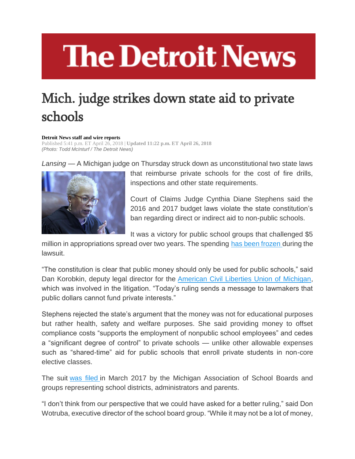## **The Detroit News**

## Mich. judge strikes down state aid to private schools

## **Detroit News staff and wire reports**

Published 5:41 p.m. ET April 26, 2018 | **Updated 11:22 p.m. ET April 26, 2018** *(Photo: Todd McInturf / The Detroit News)*

*Lansing* — A Michigan judge on Thursday struck down as unconstitutional two state laws



that reimburse private schools for the cost of fire drills, inspections and other state requirements.

Court of Claims Judge Cynthia Diane Stephens said the 2016 and 2017 budget laws violate the state constitution's ban regarding direct or indirect aid to non-public schools.

It was a victory for public school groups that challenged \$5

million in appropriations spread over two years. The spending [has been frozen](https://www.detroitnews.com/story/news/politics/2017/07/05/private-school-aid-freeze/103456938/) during the lawsuit.

"The constitution is clear that public money should only be used for public schools," said Dan Korobkin, deputy legal director for the [American Civil Liberties Union of Michigan,](http://www.aclumich.org/) which was involved in the litigation. "Today's ruling sends a message to lawmakers that public dollars cannot fund private interests."

Stephens rejected the state's argument that the money was not for educational purposes but rather health, safety and welfare purposes. She said providing money to offset compliance costs "supports the employment of nonpublic school employees" and cedes a "significant degree of control" to private schools — unlike other allowable expenses such as "shared-time" aid for public schools that enroll private students in non-core elective classes.

The suit [was filed](https://www.detroitnews.com/story/news/local/michigan/2017/03/21/private-school-lawsuit/99444418/) in March 2017 by the Michigan Association of School Boards and groups representing school districts, administrators and parents.

"I don't think from our perspective that we could have asked for a better ruling," said Don Wotruba, executive director of the school board group. "While it may not be a lot of money,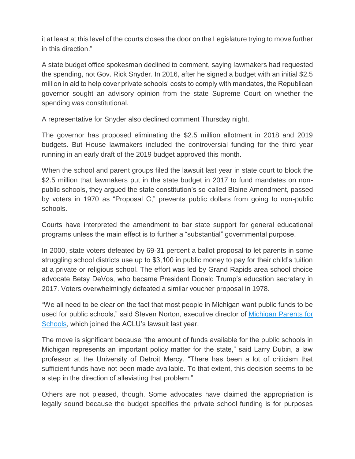it at least at this level of the courts closes the door on the Legislature trying to move further in this direction."

A state budget office spokesman declined to comment, saying lawmakers had requested the spending, not Gov. Rick Snyder. In 2016, after he signed a budget with an initial \$2.5 million in aid to help cover private schools' costs to comply with mandates, the Republican governor sought an advisory opinion from the state Supreme Court on whether the spending was constitutional.

A representative for Snyder also declined comment Thursday night.

The governor has proposed eliminating the \$2.5 million allotment in 2018 and 2019 budgets. But House lawmakers included the controversial funding for the third year running in an early draft of the 2019 budget approved this month.

When the school and parent groups filed the lawsuit last year in state court to block the \$2.5 million that lawmakers put in the state budget in 2017 to fund mandates on nonpublic schools, they argued the state constitution's so-called Blaine Amendment, passed by voters in 1970 as "Proposal C," prevents public dollars from going to non-public schools.

Courts have interpreted the amendment to bar state support for general educational programs unless the main effect is to further a "substantial" governmental purpose.

In 2000, state voters defeated by 69-31 percent a ballot proposal to let parents in some struggling school districts use up to \$3,100 in public money to pay for their child's tuition at a private or religious school. The effort was led by Grand Rapids area school choice advocate Betsy DeVos, who became President Donald Trump's education secretary in 2017. Voters overwhelmingly defeated a similar voucher proposal in 1978.

"We all need to be clear on the fact that most people in Michigan want public funds to be used for public schools," said Steven Norton, executive director of [Michigan Parents for](http://www.mipfs.org/)  [Schools,](http://www.mipfs.org/) which joined the ACLU's lawsuit last year.

The move is significant because "the amount of funds available for the public schools in Michigan represents an important policy matter for the state," said Larry Dubin, a law professor at the University of Detroit Mercy. "There has been a lot of criticism that sufficient funds have not been made available. To that extent, this decision seems to be a step in the direction of alleviating that problem."

Others are not pleased, though. Some advocates have claimed the appropriation is legally sound because the budget specifies the private school funding is for purposes